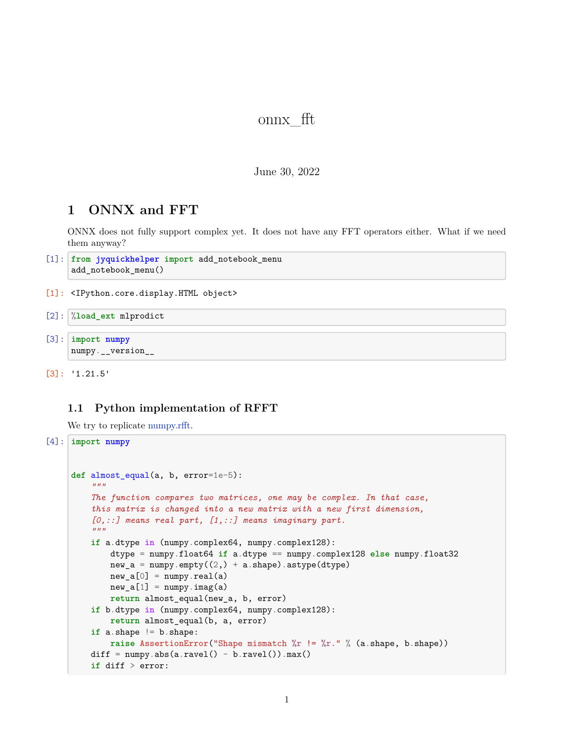# onnx\_fft

## June 30, 2022

# **1 ONNX and FFT**

ONNX does not fully support complex yet. It does not have any FFT operators either. What if we need them anyway?

```
[1]: from jyquickhelper import add_notebook_menu
     add_notebook_menu()
```
[1]: <IPython.core.display.HTML object>

```
[2]: %load_ext mlprodict
```
[3]: **import numpy** numpy.\_\_version\_\_

```
[3]: '1.21.5'
```
# **1.1 Python implementation of RFFT**

We try to replicate [numpy.rfft](https://numpy.org/doc/stable/reference/generated/numpy.fft.rfft.html).

```
[4]: import numpy
     def almost_equal(a, b, error=1e-5):
          """
         The function compares two matrices, one may be complex. In that case,
         this matrix is changed into a new matrix with a new first dimension,
         [0,::] means real part, [1,::] means imaginary part.
         """
         if a.dtype in (numpy.complex64, numpy.complex128):
             dtype = numpy.float64 if a.dtype == numpy.complex128 else numpy.float32
             new_a = numpy .empty((2,) + a.shape) .astype(dtype)new a[0] = numpy.real(a)
             new_a[1] = numpy.inag(a)return almost_equal(new_a, b, error)
         if b.dtype in (numpy.complex64, numpy.complex128):
             return almost_equal(b, a, error)
         if a.shape != b.shape:
             raise AssertionError("Shape mismatch %r != %r." % (a.shape, b.shape))
         diff = \text{numpy}.\text{abs}(a.\text{ravel}() - b.\text{ravel}()).\text{max}()if diff > error:
```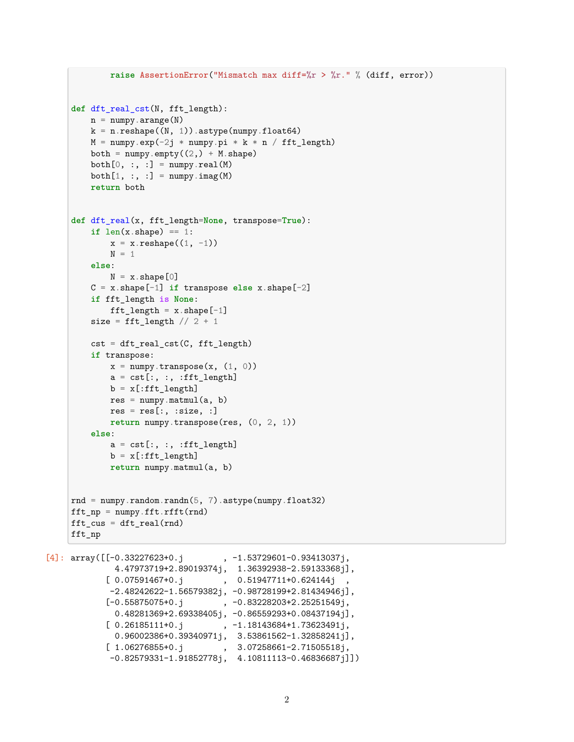```
raise AssertionError("Mismatch max diff=%r > %r." % (diff, error))
     def dft_real_cst(N, fft_length):
         n = \text{numpy}.\text{arange}(N)k = n.reshape((N, 1)).astype(numpy.float64)M = \text{numpy}.\text{exp}(-2j * \text{numpy}.\text{pi} * k * n / \text{fft\_length})both = numpy .empty((2,) + M.shape)both[0, :, :] = numpy.read(M)both[1, :, :] = numpy.inag(M)return both
     def dft_real(x, fft_length=None, transpose=True):
         if len(x.shape) == 1:
             x = x.\text{reshape}((1, -1))N = 1else:
             N = x. shape [0]C = x.shape[-1] if transpose else x.shape[-2]
         if fft_length is None:
             fft\_length = x.shape[-1]size = fft_length // 2 + 1cst = dft_real_cst(C, fft_length)
         if transpose:
             x = \text{numpy.transpose}(x, (1, 0))a = cst[:, : , :fft length]b = x[:fft length]
             res = \text{number}.\text{matmul}(a, b)res = res[:, : size, :]return numpy.transpose(res, (0, 2, 1))
         else:
             a = \text{cst}:, :, :fft length]
             b = x[:fft\_length]return numpy.matmul(a, b)
     rnd = numpy.random.randn(5, 7).astype(numpy.float32)
     fft_np = numpy.fit.rfft(rnd)fft\_cus = dt\_real(rnd)fft_np
[4]: array([[-0.33227623+0.j , -1.53729601-0.93413037j,4.47973719+2.89019374j, 1.36392938-2.59133368j],
             [0.07591467+0.j, 0.51947711+0.624144j-2.48242622-1.56579382j, -0.98728199+2.81434946j],
            [-0.55875075 + 0. j \qquad , \ -0.83228203 + 2.25251549j,0.48281369+2.69338405j, -0.86559293+0.08437194j],
```

```
[1.06276855+0.j , 3.07258661-2.71505518j,
-0.82579331-1.91852778j, 4.10811113-0.46836687j]])
```
 $[0.26185111+0.$ j,  $-1.18143684+1.73623491$ j, 0.96002386+0.39340971j, 3.53861562-1.32858241j],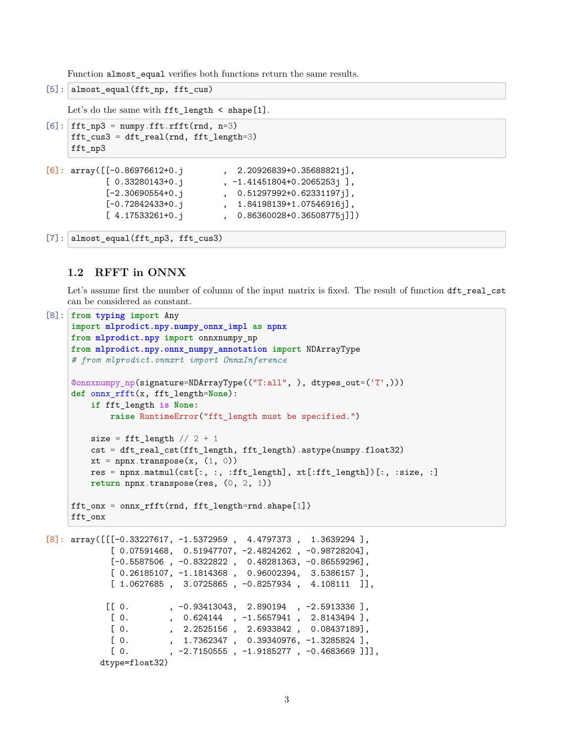Function almost equal verifies both functions return the same results.

```
[5]: almost equal(fft np, fft cus)
```

```
Let's do the same with fft_length < shape[1].
```

```
[6]: fft np3 = numpy.fft.rfft(rnd, n=3)
     fft_cus3 = dft_real(rnd, fft_length=3)
     fft_np3
```

```
[6]: array([[-0.86976612+0.j , 2.20926839+0.35688821j],
          [0.33280143+0. j, -1.41451804+0.2065253j],
          [-2.30690554+0. j , 0.51297992+0.62331197j],
          [-0.72842433+0. j , 1.84198139+1.07546916j],
          [4.17533261+0.j , 0.86360028+0.36508775j]])
```

```
[7]: almost equal(fft np3, fft cus3)
```
# **1.2 RFFT in ONNX**

Let's assume first the number of column of the input matrix is fixed. The result of function  $dft_{real\_cst}$ can be considered as constant.

```
[8]: from typing import Any
    import mlprodict.npy.numpy_onnx_impl as npnx
    from mlprodict.npy import onnxnumpy_np
    from mlprodict.npy.onnx_numpy_annotation import NDArrayType
    # from mlprodict.onnxrt import OnnxInference
    @onnxnumpy_np(signature=NDArrayType(("T:all", ), dtypes_out=('T',)))
    def onnx_rfft(x, fft_length=None):
        if fft_length is None:
            raise RuntimeError("fft_length must be specified.")
        size = fft_length / / 2 + 1cst = dft real cst(fft length, fft length).astype(numpy.float32)
        xt = npx.transpose(x, (1, 0))res = npx.maxmail(cst[:, :, :fft_length], xt[:fft_length])[:, :size, :]return npnx.transpose(res, (0, 2, 1))
    fft_onx = onnx_rfft(rnd, fft_length=rnd.shape[1])
    fft_onx
[8]: array([[[-0.33227617, -1.5372959, 4.4797373, 1.3639294],
            [ 0.07591468, 0.51947707, -2.4824262 , -0.98728204],
            [-0.5587506, -0.8322822, 0.48281363, -0.86559296],[ 0.26185107, -1.1814368 , 0.96002394, 3.5386157 ],
            [1.0627685, 3.0725865, -0.8257934, 4.108111],
           [0. 93413043, 2.890194, -2.5913336],[0. , 0.624144 , -1.5657941 , 2.8143494 ],
            [ 0. , 2.2525156 , 2.6933842 , 0.08437189],
            [ 0. , 1.7362347 , 0.39340976, -1.3285824 ],
            [0. , -2.7150555, -1.9185277, -0.4683669]]]
```

```
dtype=float32)
```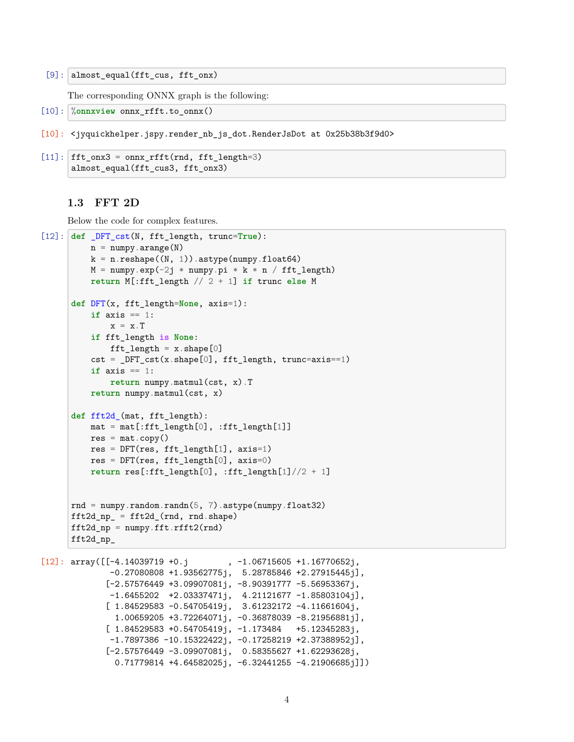[9]: almost\_equal(fft\_cus, fft\_onx)

The corresponding ONNX graph is the following:

- [10]: %**onnxview** onnx\_rfft.to\_onnx()
- [10]: <jyquickhelper.jspy.render\_nb\_js\_dot.RenderJsDot at 0x25b38b3f9d0>

```
[11]: fft_onx3 = onnx_rfft(rnd, fft_length=3)
      almost_equal(fft_cus3, fft_onx3)
```
# **1.3 FFT 2D**

Below the code for complex features.

```
[12]: def _DFT_cst(N, fft_length, trunc=True):
           n = \text{numpy}.\text{arange}(N)k = n.reshape((N, 1)).astype(numpy.float64)M = \text{numpy}.\text{exp}(-2\text{j} * \text{numpy}.\text{pi} * \text{k} * \text{n} / \text{fft length})return M[:fft_length // 2 + 1] if trunc else M
      def DFT(x, fft_length=None, axis=1):
           if axis == 1:
               x = x \cdot Tif fft_length is None:
               fft length = x.\text{shape}[0]cst = DFT_cst(x.shape[0], fft_length, trunc=axis==1)if axis == 1:
               return numpy.matmul(cst, x).T
           return numpy.matmul(cst, x)
      def fft2d_(mat, fft_length):
           mat = mat[:fft\_length[0], :fft\_length[1]]res = mat.copy()res = DFT(res, fft_length[1], axis=1)
           res = DFT(res, fft_length[0], axis=0)return res[:fft_length[0], :fft_length[1]//2 + 1]
      rnd = numpy.random.randn(5, 7).astype(numpy.float32)
      fft2d np = fft2d(rnd, rnd.shape)fft2d_np = \text{numpy}.fft.rfft2(rnd)fft2d_np_
```

```
[12]: array([[-4.14039719 +0. j, -1.06715605 +1.16770652j,
             -0.27080808 +1.93562775j, 5.28785846 +2.27915445j],
            [-2.57576449 +3.09907081j, -8.90391777 -5.56953367j,
             -1.6455202 +2.03337471j, 4.21121677 -1.85803104j,[ 1.84529583 -0.54705419j, 3.61232172 -4.11661604j,
              1.00659205 +3.72264071j, -0.36878039 -8.21956881j],
             [ 1.84529583 +0.54705419j, -1.173484 +5.12345283j,
             -1.7897386 -10.15322422j, -0.17258219 +2.37388952j,[-2.57576449 -3.09907081j, 0.58355627 +1.62293628j,
              0.71779814 +4.64582025j, -6.32441255 -4.21906685j]])
```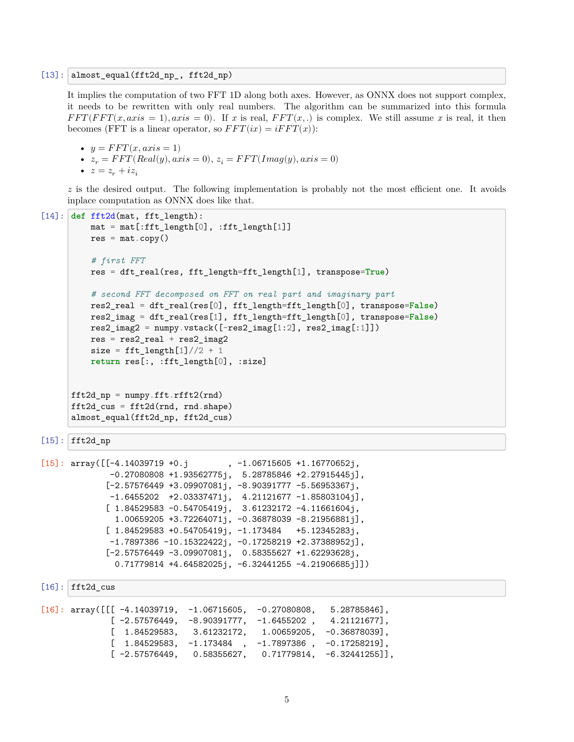[13]: almost\_equal(fft2d\_np\_, fft2d\_np)

It implies the computation of two FFT 1D along both axes. However, as ONNX does not support complex, it needs to be rewritten with only real numbers. The algorithm can be summarized into this formula  $FFT(FFT(x, axis = 1), axis = 0)$ . If *x* is real,  $FFT(x, .)$  is complex. We still assume *x* is real, it then becomes (FFT is a linear operator, so  $FFT(ix) = iFFT(x)$ ):

•  $y = FFT(x, axis = 1)$ •  $z_r = FFT(Real(y), axis = 0), z_i = FFT(Imag(y), axis = 0)$ •  $z = z_r + iz_i$ 

*z* is the desired output. The following implementation is probably not the most efficient one. It avoids inplace computation as ONNX does like that.

```
[14]: def fft2d(mat, fft_length):
          mat = mat[:fft\_length[0], :fft\_length[1]]res = mat.copy()# first FFT
          res = dft_real(res, fft_length=fft_length[1], transpose=True)
          # second FFT decomposed on FFT on real part and imaginary part
          res2_real = dft_real(res[0], fft_length=fft_length[0], transpose=False)
          res2_imag = dft_real(res[1], fft_length=fft_length[0], transpose=False)
          res2_imag2 = numpy.rstack([res2_imag[1:2], res2_imag[:1]])res = res2_{real} + res2_{imag2}size = fft\_length[1]/2 + 1return res[:, :fft_length[0], :size]
      ft2d_np = \text{numpy}.fft.rfft2(rnd)ft2d_cus = fft2d(rnd, rnd.shape)almost_equal(fft2d_np, fft2d_cus)
```

```
[15]: fft2d np
```

```
[15]: array([[-4.14039719 +0.j , -1.06715605 +1.16770652j,
             -0.27080808 +1.93562775j, 5.28785846 +2.27915445j],
             [-2.57576449 +3.09907081j, -8.90391777 -5.56953367j,
             -1.6455202 +2.03337471j, 4.21121677 -1.85803104j,[1.84529583 -0.54705419j, 3.61232172 -4.11661604j,1.00659205 +3.72264071j, -0.36878039 -8.21956881j],
             [ 1.84529583 +0.54705419j, -1.173484 +5.12345283j,
             -1.7897386 -10.15322422j, -0.17258219 +2.37388952j],
             [-2.57576449 -3.09907081j, 0.58355627 +1.62293628j,
              0.71779814 +4.64582025j, -6.32441255 -4.21906685j]])
```

```
[16]: fft2d_cus
```

| $[16]$ : array( $[[] -4.14039719, -1.06715605, -0.27080808, 5.28785846]$ , |  |                                                                                |
|----------------------------------------------------------------------------|--|--------------------------------------------------------------------------------|
|                                                                            |  | $[-2.57576449, -8.90391777, -1.6455202, 4.21121677],$                          |
|                                                                            |  | $\lceil$ 1.84529583, 3.61232172, 1.00659205, -0.36878039],                     |
|                                                                            |  | $\begin{bmatrix} 1.84529583, -1.173484, -1.7897386, -0.17258219 \end{bmatrix}$ |
|                                                                            |  | $[-2.57576449, 0.58355627, 0.71779814, -6.32441255]$ ,                         |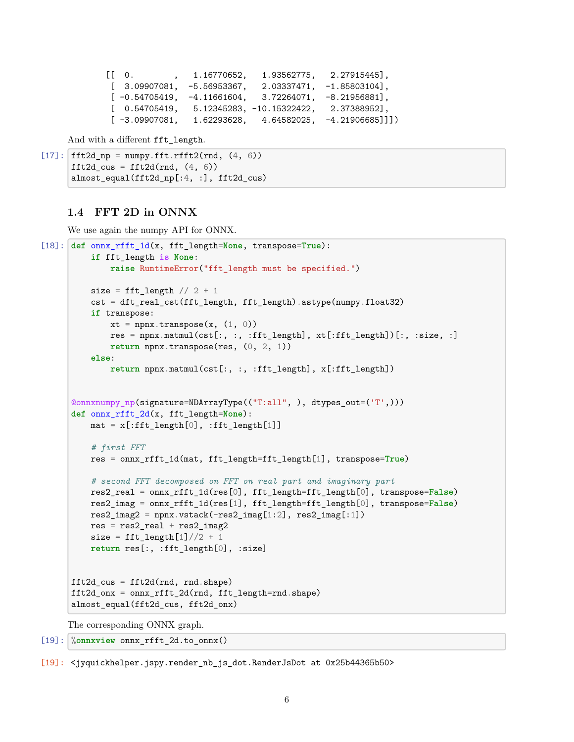```
[[ 0. , 1.16770652, 1.93562775, 2.27915445],
[3.09907081, -5.56953367, 2.03337471, -1.85803104],[-0.54705419, -4.11661604, 3.72264071, -8.21956881],[ 0.54705419, 5.12345283, -10.15322422, 2.37388952],
[-3.09907081, 1.62293628, 4.64582025, -4.21906685]]]
```
And with a different fft\_length.

```
[17]: fft2d_np = numpy.fft.rfft2(rnd, (4, 6))
      fft2d_cus = fft2d(rnd, (4, 6))
      almost_equal(fft2d_np[:4, :], fft2d cus)
```
# **1.4 FFT 2D in ONNX**

We use again the numpy API for ONNX.

```
[18]: def onnx_rfft_1d(x, fft_length=None, transpose=True):
          if fft_length is None:
              raise RuntimeError("fft_length must be specified.")
          size = fft_length / / 2 + 1cst = dft_real_cst(fft_length, fft_length).astype(numpy.float32)
          if transpose:
              xt = npx.transpose(x, (1, 0))res = npnx.matmul(cst[:, :, :fft_length], xt[:fft_length])[:, :size, :]
              return npnx.transpose(res, (0, 2, 1))
          else:
              return npnx.matmul(cst[:, :, :fft_length], x[:fft_length])
      @onnxnumpy_np(signature=NDArrayType(("T:all", ), dtypes_out=('T',)))
      def onnx_rfft_2d(x, fft_length=None):
          mat = x[:fft length[0], :fft length[1]]# first FFT
          res = onnx_rfft_1d(mat, fft_length=fft_length[1], transpose=True)
          # second FFT decomposed on FFT on real part and imaginary part
          res2_real = onnx_rfft_1d(res[0], fft_length=fft_length[0], transpose=False)
          res2_imag = onnx_rfft_1d(res[1], fft_length=fft_length[0], transpose=False)
          res2_image = npx.vstack(-res2_imag[1:2], res2_imag[:1])res = res2_{real} + res2_{imag2}size = fft_length[1]//2 + 1return res[:, :fft_length[0], :size]
      fft2d_cus = fft2d(rnd, rnd.shape)
      fft2d_onx = onnx_rfft_2d(rnd, fft_length=rnd.shape)
      almost_equal(fft2d_cus, fft2d_onx)
```

```
The corresponding ONNX graph.
```
 $[19]$ :  $\%$ onnxview onnx rfft 2d.to onnx()

[19]: <jyquickhelper.jspy.render\_nb\_js\_dot.RenderJsDot at 0x25b44365b50>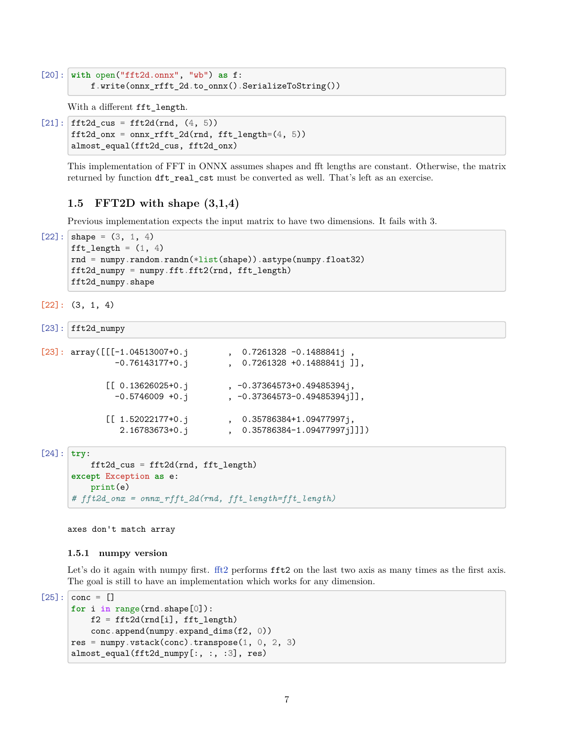```
[20]: with open("fft2d.onnx", "wb") as f:
          f.write(onnx_rfft_2d.to_onnx().SerializeToString())
```
With a different fft\_length.

```
[21]: fft2d_cus = fft2d(rnd, (4, 5))
      fft2d_ours = \text{onnx\_rfft\_2d(rnd, fft\_length=(4, 5))}almost equal(fft2d cus, fft2d onx)
```
This implementation of FFT in ONNX assumes shapes and fft lengths are constant. Otherwise, the matrix returned by function dft real cst must be converted as well. That's left as an exercise.

## **1.5 FFT2D with shape (3,1,4)**

Previous implementation expects the input matrix to have two dimensions. It fails with 3.

```
[22]: shape = (3, 1, 4)fft_length = (1, 4)rnd = \text{number.random.random}(*list(\text{shape})). astype(numpy.float32)
      fft2d_numpy = numpy.fft.fft2(rnd, fft_length)
      fft2d_numpy.shape
```

```
[22]: (3, 1, 4)
```

```
[23]: fft2d_numpy
```

```
[23]: array([[[-1.04513007+0.j , 0.7261328 -0.1488841j,
             -0.76143177+0.j , 0.7261328 +0.1488841j ]],
            [[ 0.13626025 + 0. j, -0.37364573 + 0.49485394j,-0.5746009 +0.j , -0.37364573-0.49485394j]],
            [[ 1.52022177+0. j, 0.35786384+1.09477997j,
              2.16783673+0.j , 0.35786384-1.09477997j]]])
[24]: try:
         fft2d_cus = fft2d(rnd, fft_length)
     except Exception as e:
```
print(e) *# fft2d\_onx = onnx\_rfft\_2d(rnd, fft\_length=fft\_length)*

axes don't match array

#### **1.5.1 numpy version**

Let's do it again with numpy first. [fft2](https://numpy.org/doc/stable/reference/generated/numpy.fft.fft2.html) performs **fft2** on the last two axis as many times as the first axis. The goal is still to have an implementation which works for any dimension.

```
[25]: conc = []
      for i in range(rnd.shape[0]):
          f2 = fft2d(rnd[i], fft length)conc.append(numpy.expand_dims(f2, 0))
      res = numpy.vstack(conc).transpose(1, 0, 2, 3)almost_equal(fft2d_numpy[:, :, :3], res)
```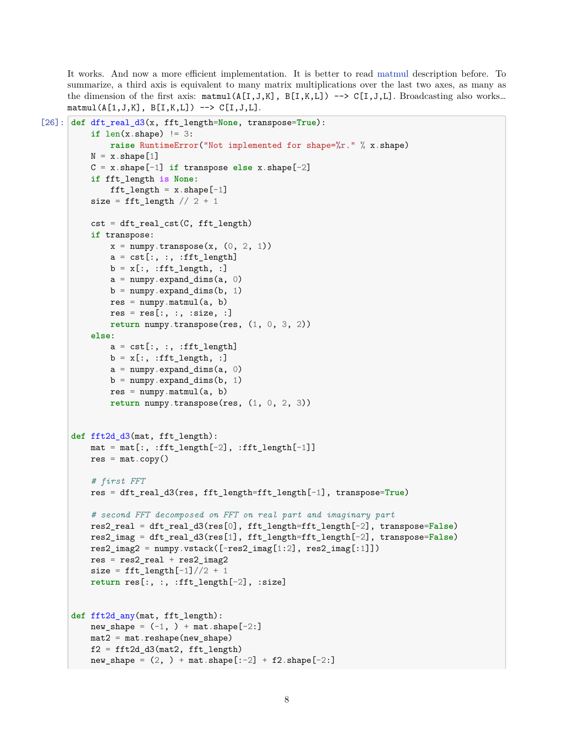It works. And now a more efficient implementation. It is better to read [matmul](https://numpy.org/doc/stable/reference/generated/numpy.matmul.html) description before. To summarize, a third axis is equivalent to many matrix multiplications over the last two axes, as many as the dimension of the first axis:  $\texttt{matmul}(A[I,J,K], B[I,K,L]) \longrightarrow C[I,J,L].$  Broadcasting also works...  $matmul(A[1,J,K], B[I,K,L]) \longrightarrow C[I,J,L].$ 

```
[26]: def dft_real_d3(x, fft_length=None, transpose=True):
          if len(x.shape) != 3:
              raise RuntimeError("Not implemented for shape=%r." % x.shape)
          N = x. shape [1]C = x.shape[-1] if transpose else x.shape[-2]
          if fft_length is None:
              fft_length = x.\text{shape}[-1]size = fft_length // 2 + 1cst = dt_t_{real_cst}(C, ft_t_{length})if transpose:
              x = \text{numpy.transpose}(x, (0, 2, 1))a = \text{cst} :, :, :fft_length]
              b = x[:, :fft\_length, :]a = \text{numpy}.\text{expand} \text{dim} s(a, 0)b = numpy.expand_dims(b, 1)
              res = numpy.matmul(a, b)
              res = res[:, :, :size, :]return numpy.transpose(res, (1, 0, 3, 2))
          else:
              a = cst[:, :, :fft_length]b = x[:, :fft\_length, :]a = \text{numpy}.\text{expand}_\text{dims}(a, 0)b = numpy.expand_dims(b, 1)
              res = \text{number}.\text{matmul}(a, b)return numpy.transpose(res, (1, 0, 2, 3))
      def fft2d_d3(mat, fft_length):
          mat = mat[:, :fft\_length[-2], :fft\_length[-1]]res = mat.copy()# first FFT
          res = dft_real_d3(res, fft_length=fft_length[-1], transpose=True)
          # second FFT decomposed on FFT on real part and imaginary part
          res2_real = dft_real_d3(res[0], fft_length=fft_length[-2], transpose=False)
          res2_imag = dft_real_d3(res[1], fft_length=fft_length[-2], transpose=False)
          res2_imag2 = numpy.vstack([-res2_imag[1:2], res2_imag[:1])
          res = res2_{real} + res2_{imag2}size = fft_length[-1]//2 + 1return res[:, :, :fft_length[-2], :size]
      def fft2d_any(mat, fft_length):
          new\_shape = (-1, ) + mat.shape[-2:]mat2 = mat.reshape(new shape)f2 = fft2d_d3(mat2, fft_length)new\_shape = (2, ) + mat.shape[:-2] + f2.shape[-2:]
```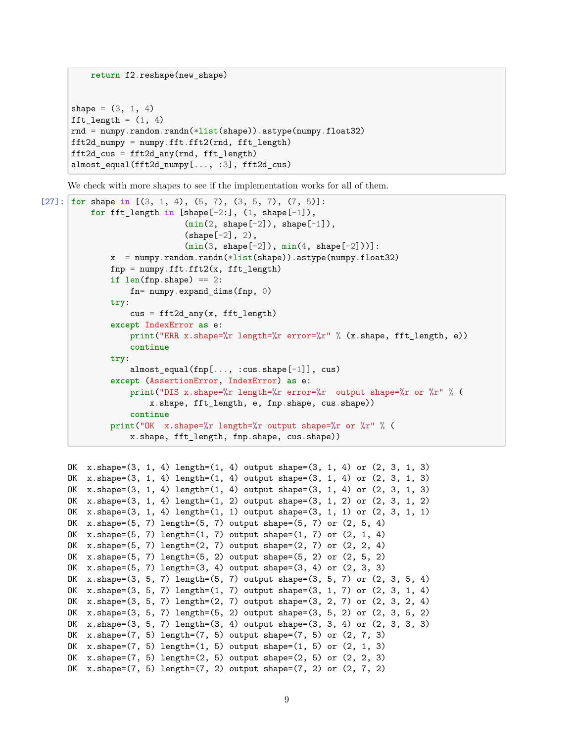```
shape = (3, 1, 4)fft_length = (1, 4)rnd = numpy.random.randn(*list(shape)) .astype(numpy.float32)fft2d_numpy = numpy.fft.fft2(rnd, fft_length)
fft2d_cus = fft2d_any(rnd, fft_length)
almost_equal(fft2d_numpy[..., :3], fft2d_cus)
```
**return** f2.reshape(new\_shape)

We check with more shapes to see if the implementation works for all of them.

```
[27]: for shape in [(3, 1, 4), (5, 7), (3, 5, 7), (7, 5)]:
          for fft_length in [shape[-2:], (1, shape[-1]),
                               (\min(2, \text{shape}[-2]), \text{shape}[-1]),(shape[-2], 2),
                               (min(3, shape[-2]), min(4, shape[-2])):
               x = numpy.random.randn(\frac{\text{dist}(\text{shape})}{\text{dist}}).astype(numpy.float32)
              fnp = numpy.fft.fft2(x, fft_length)
               if len(fnp.shape) == 2:
                   fn= numpy.expand_dims(fnp, 0)
              try:
                   cus = fft2d_any(x, fft_length)except IndexError as e:
                   print("ERR x.shape=%r length=%r error=%r" % (x.shape, fft_length, e))
                   continue
               try:
                   almost_equal(fnp[..., :cus.shape[-1]], cus)
               except (AssertionError, IndexError) as e:
                   print("DIS x.shape=%r length=%r error=%r output shape=%r or %r" % (
                       x.shape, fft_length, e, fnp.shape, cus.shape))
                   continue
               print("OK x.shape=%r length=%r output shape=%r or %r" % (
                   x.shape, fft_length, fnp.shape, cus.shape))
```

```
OK x.\text{shape}=(3, 1, 4) length=(1, 4) output shape=(3, 1, 4) or (2, 3, 1, 3)OK x.shape=(3, 1, 4) length=(1, 4) output shape=(3, 1, 4) or (2, 3, 1, 3)OK x.shape=(3, 1, 4) length=(1, 4) output shape=(3, 1, 4) or (2, 3, 1, 3)
OK x.\text{shape}=(3, 1, 4) length=(1, 2) output shape=(3, 1, 2) or (2, 3, 1, 2)OK x.\text{shape}=(3, 1, 4) length=(1, 1) output shape=(3, 1, 1) or (2, 3, 1, 1)OK x.shape=(5, 7) length=(5, 7) output shape=(5, 7) or (2, 5, 4)
OK x.shape=(5, 7) length=(1, 7) output shape=(1, 7) or (2, 1, 4)
OK x.shape=(5, 7) length=(2, 7) output shape=(2, 7) or (2, 2, 4)
OK x.shape=(5, 7) length=(5, 2) output shape=(5, 2) or (2, 5, 2)OK x.shape=(5, 7) length=(3, 4) output shape=(3, 4) or (2, 3, 3)OK x.shape=(3, 5, 7) length=(5, 7) output shape=(3, 5, 7) or (2, 3, 5, 4)
OK x.\text{shape}=(3, 5, 7) length=(1, 7) output shape=(3, 1, 7) or (2, 3, 1, 4)OK x.shape=(3, 5, 7) length=(2, 7) output shape=(3, 2, 7) or (2, 3, 2, 4)
OK x.shape=(3, 5, 7) length=(5, 2) output shape=(3, 5, 2) or (2, 3, 5, 2)
OK x.shape=(3, 5, 7) length=(3, 4) output shape=(3, 3, 4) or (2, 3, 3, 3)
OK x.\text{shape}=(7, 5) length=(7, 5) output shape=(7, 5) or (2, 7, 3)OK x.shape=(7, 5) length=(1, 5) output shape=(1, 5) or (2, 1, 3)OK x.shape=(7, 5) length=(2, 5) output shape=(2, 5) or (2, 2, 3)
OK x.shape=(7, 5) length=(7, 2) output shape=(7, 2) or (2, 7, 2)
```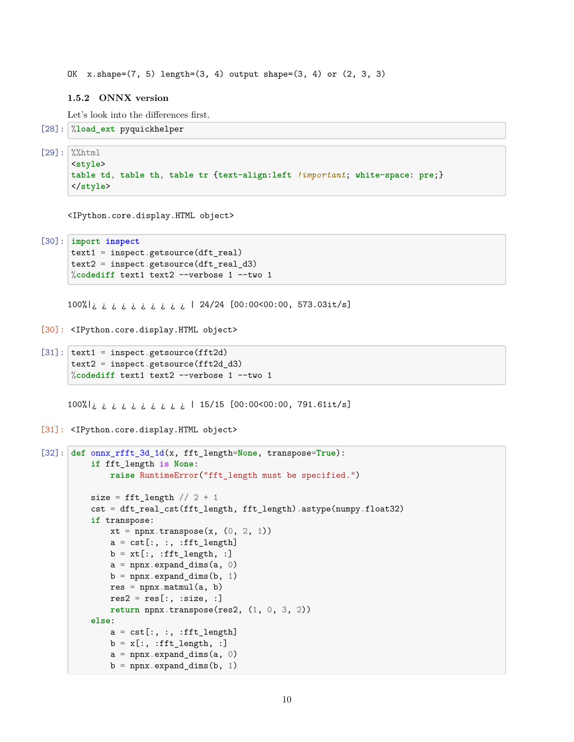OK  $x.\text{shape}=(7, 5) \text{length}=(3, 4) \text{ output shape}=(3, 4) \text{ or } (2, 3, 3)$ 

#### **1.5.2 ONNX version**

Let's look into the differences first.

```
[28]: %load_ext pyquickhelper
```
 $[29]:$  %%html

<**style**> **table td**, **table th**, **table tr** {**text-align**:**left** *!important*; **white-space**: **pre**;} </**style**>

<IPython.core.display.HTML object>

```
[30]: import inspect
      text1 = inspect.getsource(dft_real)
      text2 = inspect.getsource(dft_real_d3)
      %codediff text1 text2 --verbose 1 --two 1
```
100%|¿ ¿ ¿ ¿ ¿ ¿ ¿ ¿ ¿ ¿ | 24/24 [00:00<00:00, 573.03it/s]

```
[30]: <IPython.core.display.HTML object>
```

```
[31]: |text1 = inspecte.getsource(fft2d)|text2 = inspect.getsource(fft2d_d3)
      %codediff text1 text2 --verbose 1 --two 1
```
100%|¿ ¿ ¿ ¿ ¿ ¿ ¿ ¿ ¿ ¿ | 15/15 [00:00<00:00, 791.61it/s]

[31]: <IPython.core.display.HTML object>

```
[32]: def onnx_rfft_3d_1d(x, fft_length=None, transpose=True):
          if fft_length is None:
              raise RuntimeError("fft_length must be specified.")
          size = fft_length // 2 + 1cst = dft_real_cst(fft_length, fft_length).astype(numpy.float32)
          if transpose:
              xt = npx.transpose(x, (0, 2, 1))a = cst[:, :, :fft_length]b = xt[:, :fft\_length, :]a = npx. expand_dims(a, 0)
              b = npnx.expand\_dims(b, 1)res = npx.matmul(a, b)res2 = res[:, :size, :}]return npnx.transpose(res2, (1, 0, 3, 2))
          else:
              a = cst[:, :, :fft_length]b = x[:, :fft\_length, :]a = npx. expand\_dims(a, 0)b = npnx.expand_dims(b, 1)
```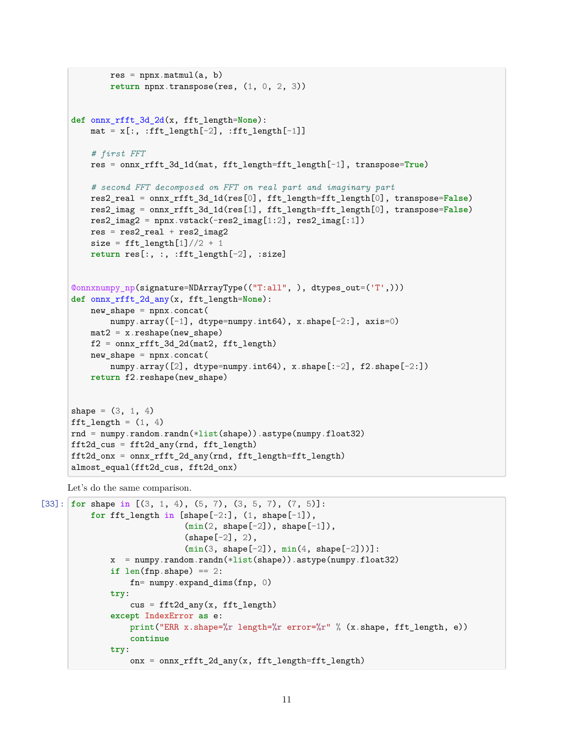```
res = npx.matmul(a, b)return npnx.transpose(res, (1, 0, 2, 3))
def onnx_rfft_3d_2d(x, fft_length=None):
   mat = x[:, :fft_length[-2], :fft_length[-1]]# first FFT
    res = onnx_rfft_3d_1d(mat, fft_length=fft_length[-1], transpose=True)
    # second FFT decomposed on FFT on real part and imaginary part
    res2_real = onnx_rfft_3d_1d(res[0], fft_length=fft_length[0], transpose=False)
    res2_imag = onnx_rfft_3d_1d(res[1], fft_length=fft_length[0], transpose=False)
    res2_imag2 = npnx.vstack(-res2_imag[1:2], res2_imag[:1])res = res2_{real} + res2_{imag2}size = fft\_length[1]/2 + 1return res[:, :, :fft_length[-2], :size]
@onnxnumpy_np(signature=NDArrayType(("T:all", ), dtypes_out=('T',)))
def onnx_rfft_2d_any(x, fft_length=None):
    new\_shape = npx.concat(numpy.array([-1], dtype=numpy.int64), x.shape[-2:], axis=0)
    mat2 = x.reshape(new_shape)
    f2 = onnx_rfft_3d_2d(mat2, fft_length)
    new\_shape = npx.concat(numpy.array([2], dtype=numpy.int64), x.shape[-2], f2.shape[-2:])return f2.reshape(new_shape)
shape = (3, 1, 4)fft_length = (1, 4)rnd = numpy.random.randn(*list(shape)) .astype(numpy.float32)fft2d cus = fft2d any(rnd, fft length)
fft2d_onx = onnx_rfft_2d_any(rnd, fft_length=fft_length)
```
Let's do the same comparison.

almost\_equal(fft2d\_cus, fft2d\_onx)

```
[33]: for shape in [(3, 1, 4), (5, 7), (3, 5, 7), (7, 5)]:
          for fft_length in [shape[-2:], (1, shape[-1]),
                             (\min(2, shape[-2]), shape[-1]),(shape[-2], 2),
                             (min(3, shape[-2]), min(4, shape[-2])):
              x = numpy.random.randn(*list(shape)).astype(numpy.float32)
              if len(fnp.shape) == 2:
                  fn= numpy.expand_dims(fnp, 0)
              try:
                  cus = fft2d any(x, fft length)
              except IndexError as e:
                  print("ERR x.shape=%r length=%r error=%r" % (x.shape, fft_length, e))
                  continue
              try:
                  onx = onnx\_rfft_2d_any(x, fft\_length=fft\_length)
```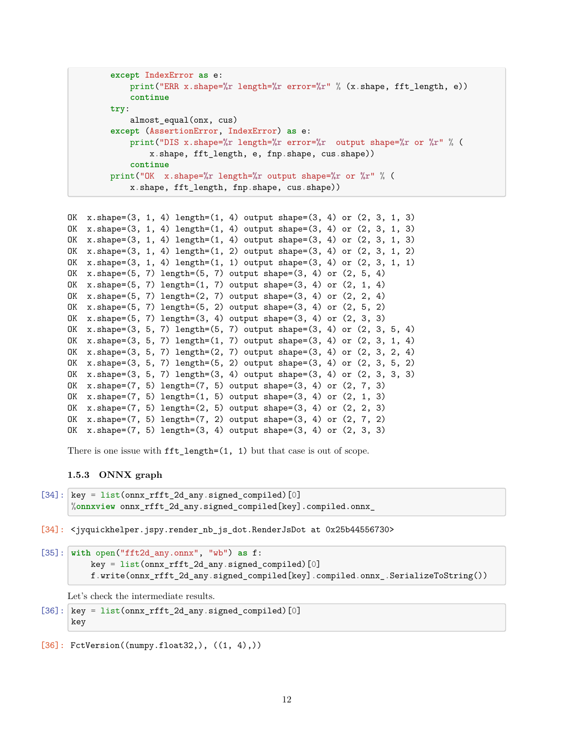```
except IndexError as e:
    print("ERR x.shape=%r length=%r error=%r" % (x.shape, fft_length, e))
    continue
try:
    almost_equal(onx, cus)
except (AssertionError, IndexError) as e:
    print("DIS x.shape=%r length=%r error=%r output shape=%r or %r" % (
        x.shape, fft_length, e, fnp.shape, cus.shape))
    continue
print("OK x.shape=%r length=%r output shape=%r or %r" % (
    x.shape, fft_length, fnp.shape, cus.shape))
```

```
OK x.\text{shape}=(3, 1, 4) length=(1, 4) output shape=(3, 4) or (2, 3, 1, 3)OK x.\text{shape}=(3, 1, 4) \text{ length}=(1, 4) \text{ output shape}=(3, 4) \text{ or } (2, 3, 1, 3)OK x.\text{shape}=(3, 1, 4) \text{ length}=(1, 4) \text{ output shape}=(3, 4) \text{ or } (2, 3, 1, 3)OK x.\text{shape}=(3, 1, 4) \text{length}=(1, 2) \text{output shape}=(3, 4) \text{ or } (2, 3, 1, 2)OK x.shape=(3, 1, 4) length=(1, 1) output shape=(3, 4) or (2, 3, 1, 1)
OK x.shape=(5, 7) length=(5, 7) output shape=(3, 4) or (2, 5, 4)OK x.\text{shape}=(5, 7) \text{length}=(1, 7) \text{output shape}=(3, 4) \text{ or } (2, 1, 4)OK x.shape=(5, 7) length=(2, 7) output shape=(3, 4) or (2, 2, 4)OK x.shape=(5, 7) length=(5, 2) output shape=(3, 4) or (2, 5, 2)
OK x.shape=(5, 7) length=(3, 4) output shape=(3, 4) or (2, 3, 3)
OK x.shape=(3, 5, 7) length=(5, 7) output shape=(3, 4) or (2, 3, 5, 4)
OK x.shape=(3, 5, 7) length=(1, 7) output shape=(3, 4) or (2, 3, 1, 4)
OK x.shape=(3, 5, 7) length=(2, 7) output shape=(3, 4) or (2, 3, 2, 4)
OK x.\text{shape}=(3, 5, 7) \text{ length}=(5, 2) \text{ output shape}=(3, 4) \text{ or } (2, 3, 5, 2)OK x.shape=(3, 5, 7) length=(3, 4) output shape=(3, 4) or (2, 3, 3, 3)
OK x.shape=(7, 5) length=(7, 5) output shape=(3, 4) or (2, 7, 3)
OK x.shape=(7, 5) length=(1, 5) output shape=(3, 4) or (2, 1, 3)
OK x.\text{shape}=(7, 5) \text{length}=(2, 5) \text{output shape}=(3, 4) \text{ or } (2, 2, 3)OK x.shape=(7, 5) length=(7, 2) output shape=(3, 4) or (2, 7, 2)
OK x.shape=(7, 5) length=(3, 4) output shape=(3, 4) or (2, 3, 3)
```
There is one issue with fft\_length=(1, 1) but that case is out of scope.

### **1.5.3 ONNX graph**

```
[34]: \kappa = list(onnx_rfft_2d_any.signed_compiled)[0]
      %onnxview onnx_rfft_2d_any.signed_compiled[key].compiled.onnx_
```
[34]: <jyquickhelper.jspy.render\_nb\_js\_dot.RenderJsDot at 0x25b44556730>

```
[35]: with open("fft2d_any.onnx", "wb") as f:
          key = list(onnx rfft 2d any.signed compiled)[0]f.write(onnx_rfft_2d_any.signed_compiled[key].compiled.onnx_.SerializeToString())
```
Let's check the intermediate results.

```
[36]: \kappa = list(onnx_rfft_2d_any.signed_compiled)[0]
      key
```

```
[36]: FctVersion((numpy.float32,), ((1, 4),))
```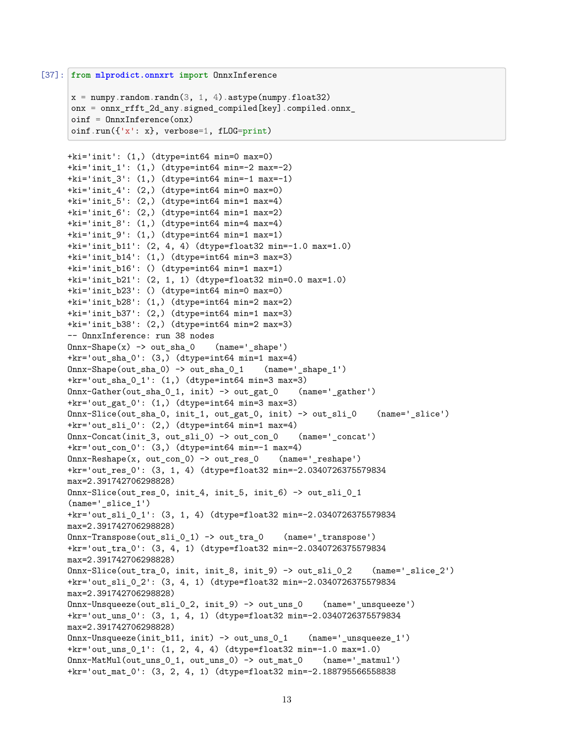```
[37]: from mlprodict.onnxrt import OnnxInference
```

```
x = \text{numpy.random.randn}(3, 1, 4) . \text{astype(numpy.float32})onx = onnx_rfft_2d_any.signed_compiled[key].compiled.onnx_
oinf = OnnxInference(onx)
oinf.run(\{x': x\}, verbose=1, fLOG=print)
```

```
+ki='init': (1,) (dtype=int64 min=0 max=0)
+ki='init_1': (1,) (dtype=int64 min=-2 max=-2)
+ki='init_3': (1,) (dtype=int64 min=-1 max=-1)
+ki='init_4': (2,) (dtype=int64 min=0 max=0)
+ki='init_5': (2,) (dtype=int64 min=1 max=4)
+ki='init_6': (2,) (dtype=int64 min=1 max=2)
+ki='init_8': (1,) (dtype=int64 min=4 max=4)
+ki='init 9': (1,) (dtype=int64 min=1 max=1)
+ki='init_b11': (2, 4, 4) (dtype=float32 min=-1.0 max=1.0)
+ki='init_b14': (1,) (dtype=int64 min=3 max=3)
+ki='init_b16': () (dtype=int64 min=1 max=1)
+ki='init b21': (2, 1, 1) (dtype=float32 min=0.0 max=1.0)
+ki='init_b23': () (dtype=int64 min=0 max=0)
+ki='init_b28': (1,) (dtype=int64 min=2 max=2)
+ki='init_b37': (2,) (dtype=int64 min=1 max=3)
+ki='init_b38': (2,) (dtype=int64 min=2 max=3)
-- OnnxInference: run 38 nodes
0nnx-Shape(x) -> out_sha_0 (name='_shape')+kr='out_sha_0': (3,) (dtype=int64 min=1 max=4)
Onnx-Shape(out_sha_0) -> out_sha_0_1 (name='_shape_1')
+kr='out_sha_0_1': (1,) (dtype=int64 min=3 max=3)
Onnx-Gather(out_sha_0_1, init) -> out_gat_0 (name='_gather')
+kr='out_gat_0': (1,) (dtype=int64 min=3 max=3)
Onnx-Slice(out_sha_0, init_1, out_gat_0, init) -> out_sli_0 (name='_slice')
+kr='out_sli_0': (2,) (dtype=int64 min=1 max=4)
Onnx-Concat(init_3, out_sli_0) -> out_con_0 (name='_concat')
+kr='out_con_0': (3,) (dtype=int64 min=-1 max=4)
Onnx-Reshape(x, out_con_0) -> out_res_0 (name='_reshape')
+kr='out_res_0': (3, 1, 4) (dtype=float32 min=-2.0340726375579834
max=2.391742706298828)
Onnx-Slice(out_res_0, init_4, init_5, init_6) -> out_sli_0_1
(name='slice 1')+kr='out_sli_0_1': (3, 1, 4) (dtype=float32 min=-2.0340726375579834
max=2.391742706298828)
Onnx-Transpose(out_sli_0_1) -> out_tra_0 (name='_transpose')
+kr='out_tra_0': (3, 4, 1) (dtype=float32 min=-2.0340726375579834
max=2.391742706298828)
\text{Onnx-Slice}(\text{out\_tra\_0, init, init\_8, init\_9}) \rightarrow \text{out\_sli\_0\_2} (name='_slice_2')
+kr='out_sli_0_2': (3, 4, 1) (dtype=float32 min=-2.0340726375579834
max=2.391742706298828)
Onnx-Unsqueeze(out_sli_0_2, init_9) -> out_uns_0 (name='_unsqueeze')
+kr='out_uns_0': (3, 1, 4, 1) (dtype=float32 min=-2.0340726375579834
max=2.391742706298828)
Onnx-Unsqueeze(init_b11, init) -> out_uns_0_1 (name='_unsqueeze_1')
+kr='out_uns_0_1': (1, 2, 4, 4) (dtype=float32 min=-1.0 max=1.0)
Onnx-MatMul(out_uns_0_1, out_uns_0) -> out_mat_0 (name='_matmul')
+kr='out_mat_0': (3, 2, 4, 1) (dtype=float32 min=-2.188795566558838
```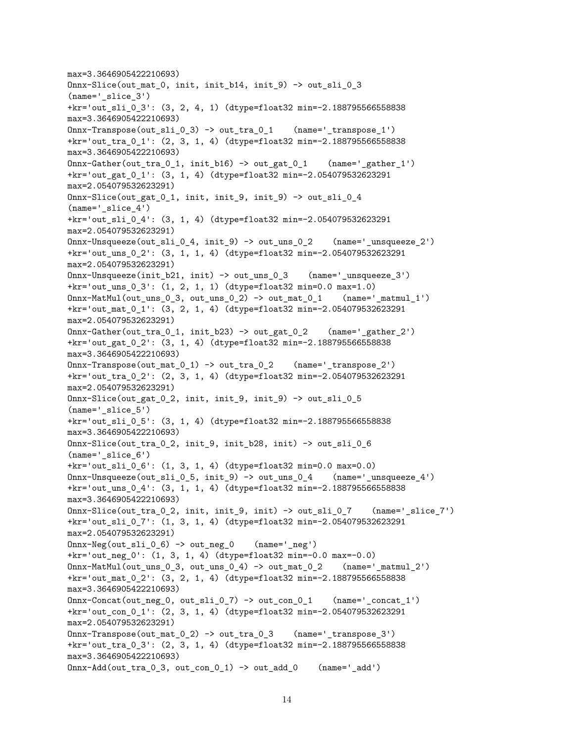```
max=3.3646905422210693)
Onnx-Slice(out mat 0, init, init b14, init 9) -> out sli 0 3
(name='_slice_3')
+kr='out_sli_0_3': (3, 2, 4, 1) (dtype=float32 min=-2.188795566558838
max=3.3646905422210693)
Onnx-Transpose(out sli 0 3) -> out tra 0 1 (name=' transpose 1')+kr='out_tra_0_1': (2, 3, 1, 4) (dtype=float32 min=-2.188795566558838
max=3.3646905422210693)
\text{Onnx-Gather}(\text{out\_tra\_0\_1}, \text{init\_b16}) \rightarrow \text{out\_gat\_0\_1} (name='_gather_1')
+kr='out_gat_0_1': (3, 1, 4) (dtype=float32 min=-2.054079532623291
max=2.054079532623291)
Onnx-Slice(out_gat_0_1, init, init_9, init_9) -> out_sli_0_4
(name='_slice_4')+kr='out_sli_0_4': (3, 1, 4) (dtype=float32 min=-2.054079532623291
max=2.054079532623291)
Onnx-Unsqueeze(out_sli_0_4, init_9) \rightarrow out_uns_0_2 (name='_unsqueeze_2')
+kr='out_uns_0_2': (3, 1, 1, 4) (dtype=float32 min=-2.054079532623291
max=2.054079532623291)
Onnx-Unsqueeze(init_b21, init) -> out_uns_0_3 (name='_unsqueeze_3')
+kr='out_uns_0_3': (1, 2, 1, 1) (dtype=float32 min=0.0 max=1.0)
\text{Onnx-MatMul}(\text{out\_uns_0_3}, \text{out\_uns_0_2}) \rightarrow \text{out\_mat_0_1} \qquad (\text{name='_matmul_1'})+kr='out_mat_0_1': (3, 2, 1, 4) (dtype=float32 min=-2.054079532623291
max=2.054079532623291)
Onnx-Gather(out tra 0 1, init b23) -> out gat 0 2 (name=' gather 2')
+kr='out_gat_0_2': (3, 1, 4) (dtype=float32 min=-2.188795566558838
max=3.3646905422210693)
Onnx-Transpose(out_mat_0_1) -> out_tra_0_2 (name='_transpose_2')
+kr='out_tra_0_2': (2, 3, 1, 4) (dtype=float32 min=-2.054079532623291
max=2.054079532623291)
Onnx-Slice(out_gat_0_2, init, init_9, init_9) -> out_sli_0_5
(name='slice 5')+kr='out_sli_0_5': (3, 1, 4) (dtype=float32 min=-2.188795566558838
max=3.3646905422210693)
Onnx-Slice(out_tra_0_2, init_9, init_b28, init) -> out_sli_0_6
(name='slice 6')+kr='out_sli_0_6': (1, 3, 1, 4) (dtype=float32 min=0.0 max=0.0)
Onnx-Unsqueeze(out sli 0 5, init 9) \rightarrow out uns 0 4 (name=' unsqueeze 4')
+kr='out_uns_0_4': (3, 1, 1, 4) (dtype=float32 min=-2.188795566558838
max=3.3646905422210693)
\text{Onnx-Slice}(\text{out\_tra\_0\_2}, \text{init}, \text{init\_9}, \text{init}) -> \text{out\_sil\_0\_7} (name='_slice_7')
+kr='out_sli_0_7': (1, 3, 1, 4) (dtype=float32 min=-2.054079532623291
max=2.054079532623291)
Onnx-Neg(out_sli_0_6) -> out_neg_0 (name='_neg')
+kr='out_neg_0': (1, 3, 1, 4) (dtype=float32 min=-0.0 max=-0.0)
\text{Onnx-MatMul}(\text{out\_uns_0_3}, \text{out\_uns_0_4}) \rightarrow \text{out\_mat_0_2} (name='_matmul_2')
+kr='out_mat_0_2': (3, 2, 1, 4) (dtype=float32 min=-2.188795566558838
max=3.3646905422210693)
\text{Onnx--Concat}(\text{out\_neg\_0, out\_sil\_0\_7}) \rightarrow \text{out\_con\_0\_1} (name='_concat_1')
+kr='out_con_0_1': (2, 3, 1, 4) (dtype=float32 min=-2.054079532623291
max=2.054079532623291)
Onnx-Transpose(out_mat_0_2) -> out_tra_0_3 (name='_transpose_3')
+kr='out_tra_0_3': (2, 3, 1, 4) (dtype=float32 min=-2.188795566558838
max=3.3646905422210693)
Onnx-Add(out tra 0\,3, out con 0\,1) -> out add 0 (name='add')
```